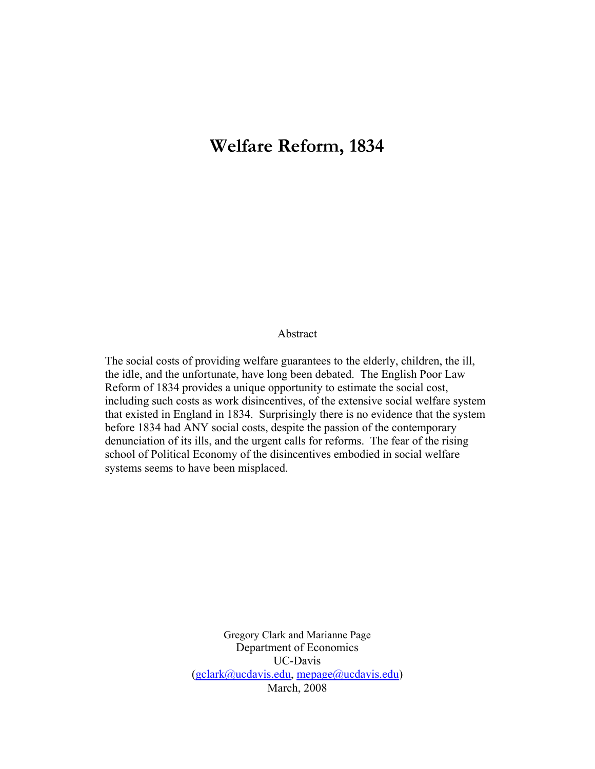# **Welfare Reform, 1834**

#### Abstract

The social costs of providing welfare guarantees to the elderly, children, the ill, the idle, and the unfortunate, have long been debated. The English Poor Law Reform of 1834 provides a unique opportunity to estimate the social cost, including such costs as work disincentives, of the extensive social welfare system that existed in England in 1834. Surprisingly there is no evidence that the system before 1834 had ANY social costs, despite the passion of the contemporary denunciation of its ills, and the urgent calls for reforms. The fear of the rising school of Political Economy of the disincentives embodied in social welfare systems seems to have been misplaced.

> Gregory Clark and Marianne Page Department of Economics UC-Davis  $(gclark@ucdavis.edu, \text{mepage@ucdavis.edu})$ March, 2008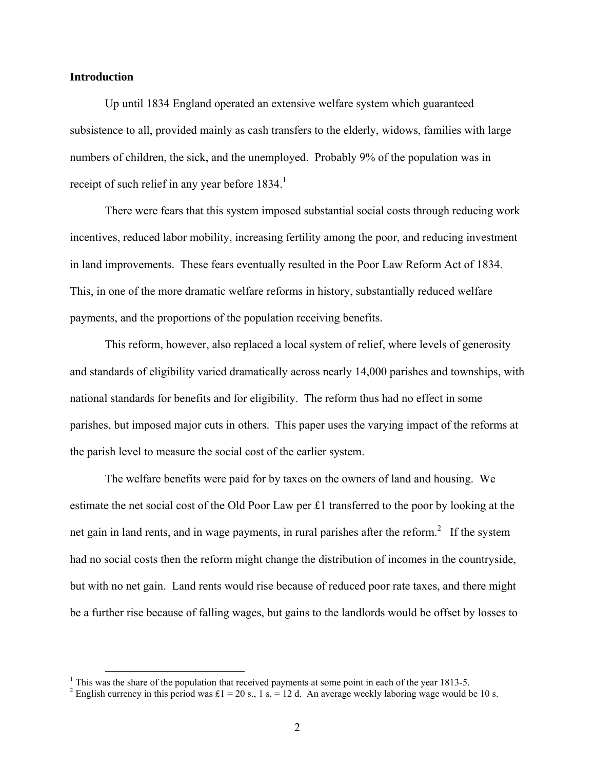#### **Introduction**

Up until 1834 England operated an extensive welfare system which guaranteed subsistence to all, provided mainly as cash transfers to the elderly, widows, families with large numbers of children, the sick, and the unemployed. Probably 9% of the population was in receipt of such relief in any year before  $1834$ .<sup>1</sup>

There were fears that this system imposed substantial social costs through reducing work incentives, reduced labor mobility, increasing fertility among the poor, and reducing investment in land improvements. These fears eventually resulted in the Poor Law Reform Act of 1834. This, in one of the more dramatic welfare reforms in history, substantially reduced welfare payments, and the proportions of the population receiving benefits.

This reform, however, also replaced a local system of relief, where levels of generosity and standards of eligibility varied dramatically across nearly 14,000 parishes and townships, with national standards for benefits and for eligibility. The reform thus had no effect in some parishes, but imposed major cuts in others. This paper uses the varying impact of the reforms at the parish level to measure the social cost of the earlier system.

The welfare benefits were paid for by taxes on the owners of land and housing. We estimate the net social cost of the Old Poor Law per £1 transferred to the poor by looking at the net gain in land rents, and in wage payments, in rural parishes after the reform.<sup>2</sup> If the system had no social costs then the reform might change the distribution of incomes in the countryside, but with no net gain. Land rents would rise because of reduced poor rate taxes, and there might be a further rise because of falling wages, but gains to the landlords would be offset by losses to

<sup>&</sup>lt;sup>1</sup> This was the share of the population that received payments at some point in each of the year 1813-5.

<sup>&</sup>lt;sup>2</sup> English currency in this period was £1 = 20 s., 1 s. = 12 d. An average weekly laboring wage would be 10 s.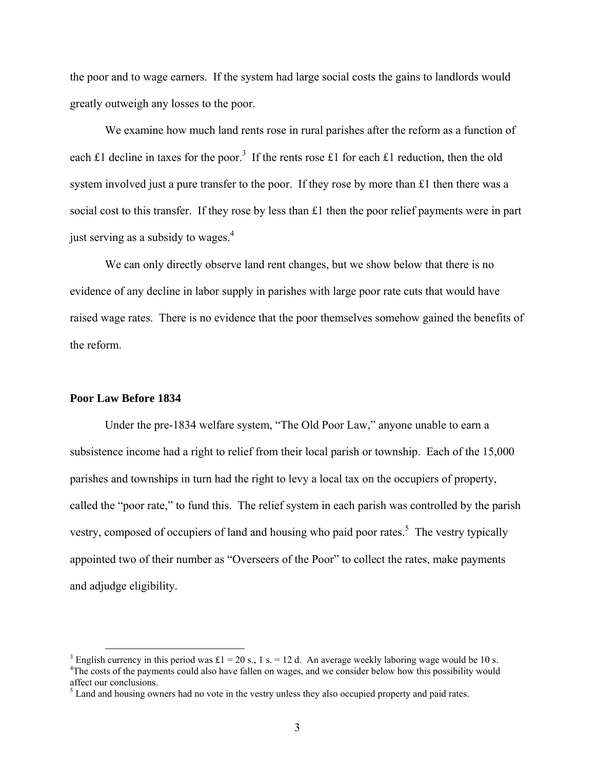the poor and to wage earners. If the system had large social costs the gains to landlords would greatly outweigh any losses to the poor.

We examine how much land rents rose in rural parishes after the reform as a function of each £1 decline in taxes for the poor.<sup>3</sup> If the rents rose £1 for each £1 reduction, then the old system involved just a pure transfer to the poor. If they rose by more than £1 then there was a social cost to this transfer. If they rose by less than £1 then the poor relief payments were in part just serving as a subsidy to wages. $4$ 

We can only directly observe land rent changes, but we show below that there is no evidence of any decline in labor supply in parishes with large poor rate cuts that would have raised wage rates. There is no evidence that the poor themselves somehow gained the benefits of the reform.

#### **Poor Law Before 1834**

 Under the pre-1834 welfare system, "The Old Poor Law," anyone unable to earn a subsistence income had a right to relief from their local parish or township. Each of the 15,000 parishes and townships in turn had the right to levy a local tax on the occupiers of property, called the "poor rate," to fund this. The relief system in each parish was controlled by the parish vestry, composed of occupiers of land and housing who paid poor rates.<sup>5</sup> The vestry typically appointed two of their number as "Overseers of the Poor" to collect the rates, make payments and adjudge eligibility.

<sup>&</sup>lt;sup>3</sup> English currency in this period was £1 = 20 s., 1 s. = 12 d. An average weekly laboring wage would be 10 s. <sup>4</sup>The costs of the payments could also have fallen on wages, and we consider below how this possibility would affect our conclusions.

 $<sup>5</sup>$  Land and housing owners had no vote in the vestry unless they also occupied property and paid rates.</sup>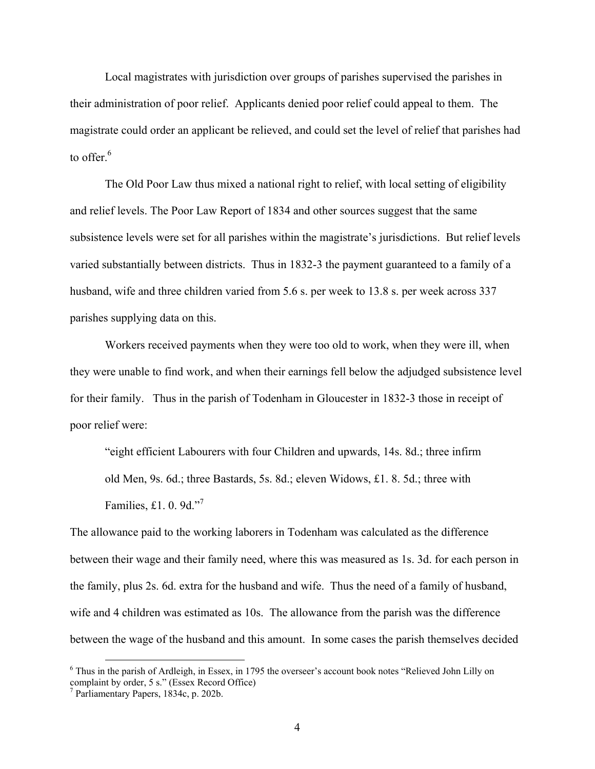Local magistrates with jurisdiction over groups of parishes supervised the parishes in their administration of poor relief. Applicants denied poor relief could appeal to them. The magistrate could order an applicant be relieved, and could set the level of relief that parishes had to offer. $^6$ 

The Old Poor Law thus mixed a national right to relief, with local setting of eligibility and relief levels. The Poor Law Report of 1834 and other sources suggest that the same subsistence levels were set for all parishes within the magistrate's jurisdictions. But relief levels varied substantially between districts. Thus in 1832-3 the payment guaranteed to a family of a husband, wife and three children varied from 5.6 s. per week to 13.8 s. per week across 337 parishes supplying data on this.

 Workers received payments when they were too old to work, when they were ill, when they were unable to find work, and when their earnings fell below the adjudged subsistence level for their family. Thus in the parish of Todenham in Gloucester in 1832-3 those in receipt of poor relief were:

"eight efficient Labourers with four Children and upwards, 14s. 8d.; three infirm old Men, 9s. 6d.; three Bastards, 5s. 8d.; eleven Widows, £1. 8. 5d.; three with Families, £1. 0. 9d."<sup>7</sup>

The allowance paid to the working laborers in Todenham was calculated as the difference between their wage and their family need, where this was measured as 1s. 3d. for each person in the family, plus 2s. 6d. extra for the husband and wife. Thus the need of a family of husband, wife and 4 children was estimated as 10s. The allowance from the parish was the difference between the wage of the husband and this amount. In some cases the parish themselves decided

<sup>&</sup>lt;sup>6</sup> Thus in the parish of Ardleigh, in Essex, in 1795 the overseer's account book notes "Relieved John Lilly on complaint by order, 5 s." (Essex Record Office)

<sup>7</sup> Parliamentary Papers, 1834c, p. 202b.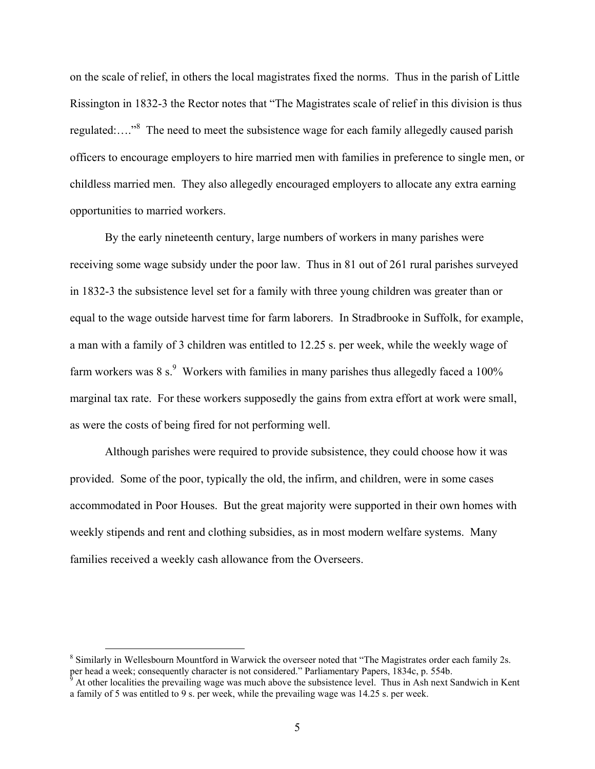on the scale of relief, in others the local magistrates fixed the norms. Thus in the parish of Little Rissington in 1832-3 the Rector notes that "The Magistrates scale of relief in this division is thus regulated:...."<sup>8</sup> The need to meet the subsistence wage for each family allegedly caused parish officers to encourage employers to hire married men with families in preference to single men, or childless married men. They also allegedly encouraged employers to allocate any extra earning opportunities to married workers.

By the early nineteenth century, large numbers of workers in many parishes were receiving some wage subsidy under the poor law. Thus in 81 out of 261 rural parishes surveyed in 1832-3 the subsistence level set for a family with three young children was greater than or equal to the wage outside harvest time for farm laborers. In Stradbrooke in Suffolk, for example, a man with a family of 3 children was entitled to 12.25 s. per week, while the weekly wage of farm workers was 8 s. $\degree$  Workers with families in many parishes thus allegedly faced a 100% marginal tax rate. For these workers supposedly the gains from extra effort at work were small, as were the costs of being fired for not performing well.

 Although parishes were required to provide subsistence, they could choose how it was provided. Some of the poor, typically the old, the infirm, and children, were in some cases accommodated in Poor Houses. But the great majority were supported in their own homes with weekly stipends and rent and clothing subsidies, as in most modern welfare systems. Many families received a weekly cash allowance from the Overseers.

<sup>&</sup>lt;sup>8</sup> Similarly in Wellesbourn Mountford in Warwick the overseer noted that "The Magistrates order each family 2s. per head a week; consequently character is not considered." Parliamentary Papers, 1834c, p. 554b.<br><sup>9</sup> At other localities the prevailing wage was much above the subsistence level. Thus in Ash next Sandwich in Kent

a family of 5 was entitled to 9 s. per week, while the prevailing wage was 14.25 s. per week.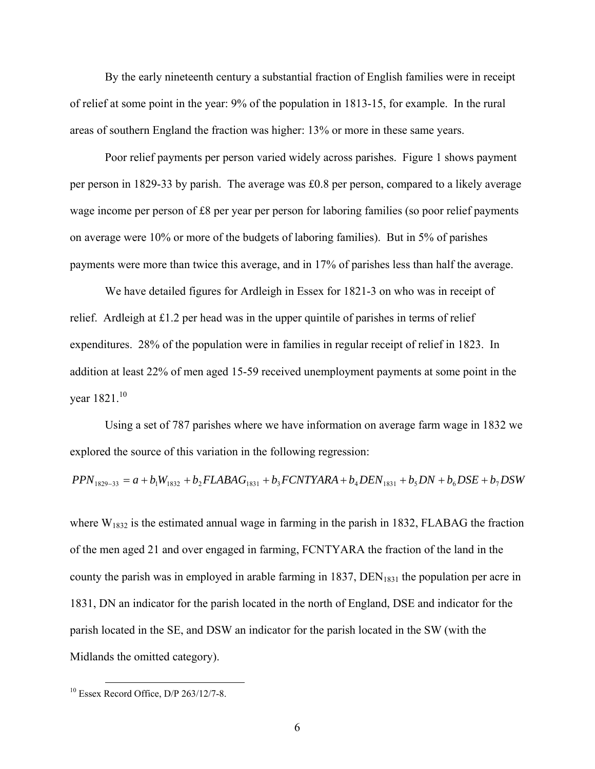By the early nineteenth century a substantial fraction of English families were in receipt of relief at some point in the year: 9% of the population in 1813-15, for example. In the rural areas of southern England the fraction was higher: 13% or more in these same years.

Poor relief payments per person varied widely across parishes. Figure 1 shows payment per person in 1829-33 by parish. The average was £0.8 per person, compared to a likely average wage income per person of £8 per year per person for laboring families (so poor relief payments on average were 10% or more of the budgets of laboring families). But in 5% of parishes payments were more than twice this average, and in 17% of parishes less than half the average.

 We have detailed figures for Ardleigh in Essex for 1821-3 on who was in receipt of relief. Ardleigh at £1.2 per head was in the upper quintile of parishes in terms of relief expenditures. 28% of the population were in families in regular receipt of relief in 1823. In addition at least 22% of men aged 15-59 received unemployment payments at some point in the vear  $1821$ <sup>10</sup>

 Using a set of 787 parishes where we have information on average farm wage in 1832 we explored the source of this variation in the following regression:

$$
PPN_{1829-33} = a + b_1 W_{1832} + b_2 FLABAG_{1831} + b_3 FCNTYARA + b_4 DEN_{1831} + b_5 DN + b_6 DSE + b_7 DSW
$$

where  $W_{1832}$  is the estimated annual wage in farming in the parish in 1832, FLABAG the fraction of the men aged 21 and over engaged in farming, FCNTYARA the fraction of the land in the county the parish was in employed in arable farming in  $1837$ ,  $DEN<sub>1831</sub>$  the population per acre in 1831, DN an indicator for the parish located in the north of England, DSE and indicator for the parish located in the SE, and DSW an indicator for the parish located in the SW (with the Midlands the omitted category).

 $10$  Essex Record Office, D/P 263/12/7-8.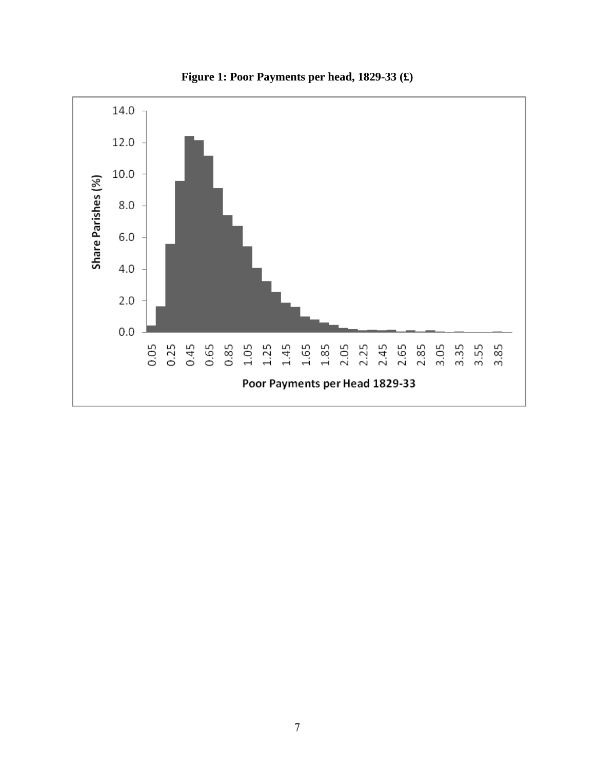

**Figure 1: Poor Payments per head, 1829-33 (£)**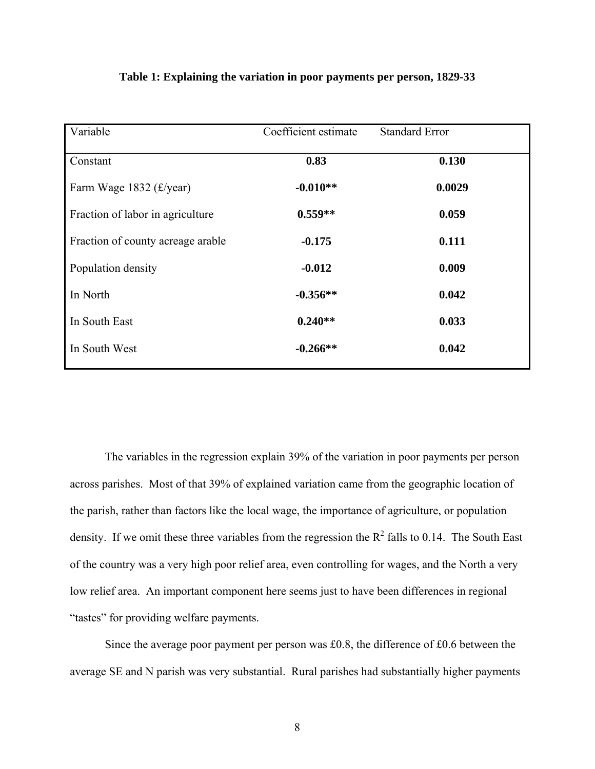| Variable                          | Coefficient estimate | <b>Standard Error</b> |
|-----------------------------------|----------------------|-----------------------|
| Constant                          | 0.83                 | 0.130                 |
| Farm Wage 1832 (£/year)           | $-0.010**$           | 0.0029                |
| Fraction of labor in agriculture  | $0.559**$            | 0.059                 |
| Fraction of county acreage arable | $-0.175$             | 0.111                 |
| Population density                | $-0.012$             | 0.009                 |
| In North                          | $-0.356**$           | 0.042                 |
| In South East                     | $0.240**$            | 0.033                 |
| In South West                     | $-0.266**$           | 0.042                 |
|                                   |                      |                       |

# **Table 1: Explaining the variation in poor payments per person, 1829-33**

The variables in the regression explain 39% of the variation in poor payments per person across parishes. Most of that 39% of explained variation came from the geographic location of the parish, rather than factors like the local wage, the importance of agriculture, or population density. If we omit these three variables from the regression the  $R^2$  falls to 0.14. The South East of the country was a very high poor relief area, even controlling for wages, and the North a very low relief area. An important component here seems just to have been differences in regional "tastes" for providing welfare payments.

Since the average poor payment per person was £0.8, the difference of £0.6 between the average SE and N parish was very substantial. Rural parishes had substantially higher payments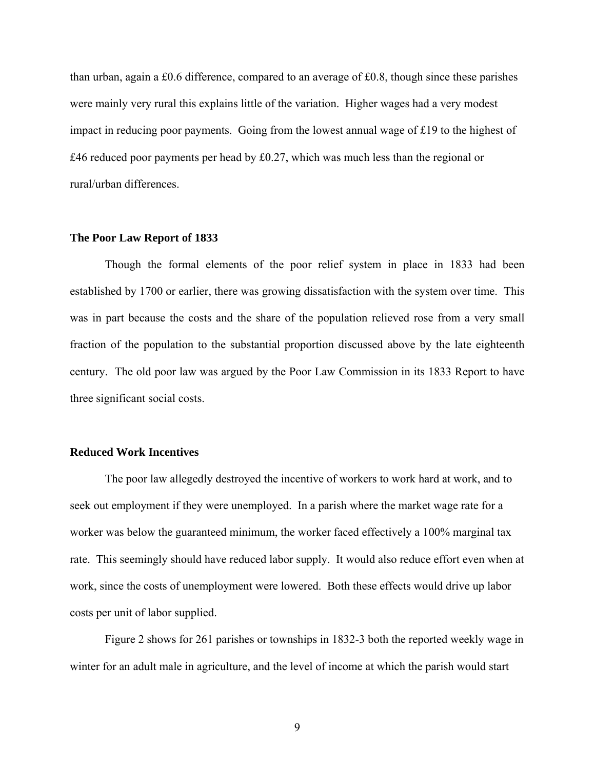than urban, again a £0.6 difference, compared to an average of £0.8, though since these parishes were mainly very rural this explains little of the variation. Higher wages had a very modest impact in reducing poor payments. Going from the lowest annual wage of £19 to the highest of £46 reduced poor payments per head by £0.27, which was much less than the regional or rural/urban differences.

#### **The Poor Law Report of 1833**

 Though the formal elements of the poor relief system in place in 1833 had been established by 1700 or earlier, there was growing dissatisfaction with the system over time. This was in part because the costs and the share of the population relieved rose from a very small fraction of the population to the substantial proportion discussed above by the late eighteenth century.The old poor law was argued by the Poor Law Commission in its 1833 Report to have three significant social costs.

#### **Reduced Work Incentives**

 The poor law allegedly destroyed the incentive of workers to work hard at work, and to seek out employment if they were unemployed. In a parish where the market wage rate for a worker was below the guaranteed minimum, the worker faced effectively a 100% marginal tax rate. This seemingly should have reduced labor supply. It would also reduce effort even when at work, since the costs of unemployment were lowered. Both these effects would drive up labor costs per unit of labor supplied.

 Figure 2 shows for 261 parishes or townships in 1832-3 both the reported weekly wage in winter for an adult male in agriculture, and the level of income at which the parish would start

9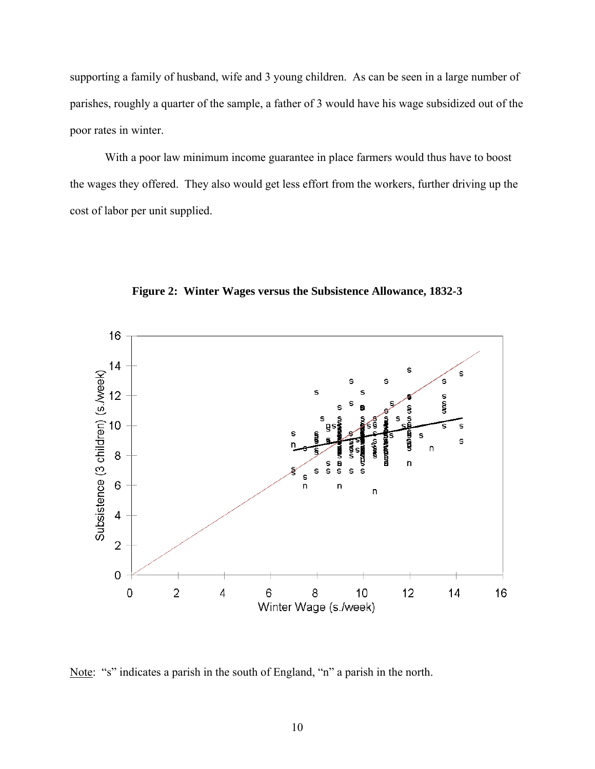supporting a family of husband, wife and 3 young children. As can be seen in a large number of parishes, roughly a quarter of the sample, a father of 3 would have his wage subsidized out of the poor rates in winter.

 With a poor law minimum income guarantee in place farmers would thus have to boost the wages they offered. They also would get less effort from the workers, further driving up the cost of labor per unit supplied.



**Figure 2: Winter Wages versus the Subsistence Allowance, 1832-3** 

Note: "s" indicates a parish in the south of England, "n" a parish in the north.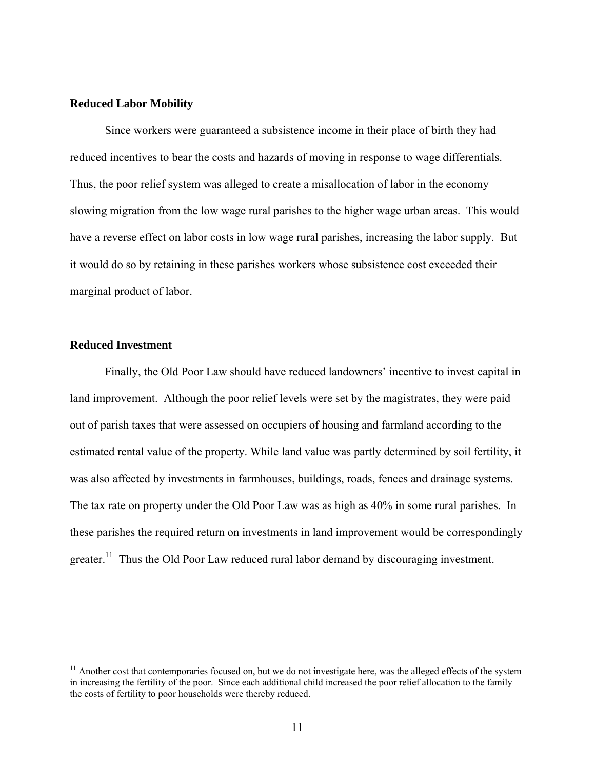#### **Reduced Labor Mobility**

 Since workers were guaranteed a subsistence income in their place of birth they had reduced incentives to bear the costs and hazards of moving in response to wage differentials. Thus, the poor relief system was alleged to create a misallocation of labor in the economy – slowing migration from the low wage rural parishes to the higher wage urban areas. This would have a reverse effect on labor costs in low wage rural parishes, increasing the labor supply. But it would do so by retaining in these parishes workers whose subsistence cost exceeded their marginal product of labor.

#### **Reduced Investment**

 Finally, the Old Poor Law should have reduced landowners' incentive to invest capital in land improvement. Although the poor relief levels were set by the magistrates, they were paid out of parish taxes that were assessed on occupiers of housing and farmland according to the estimated rental value of the property. While land value was partly determined by soil fertility, it was also affected by investments in farmhouses, buildings, roads, fences and drainage systems. The tax rate on property under the Old Poor Law was as high as 40% in some rural parishes. In these parishes the required return on investments in land improvement would be correspondingly greater.<sup>11</sup> Thus the Old Poor Law reduced rural labor demand by discouraging investment.

 $<sup>11</sup>$  Another cost that contemporaries focused on, but we do not investigate here, was the alleged effects of the system</sup> in increasing the fertility of the poor. Since each additional child increased the poor relief allocation to the family the costs of fertility to poor households were thereby reduced.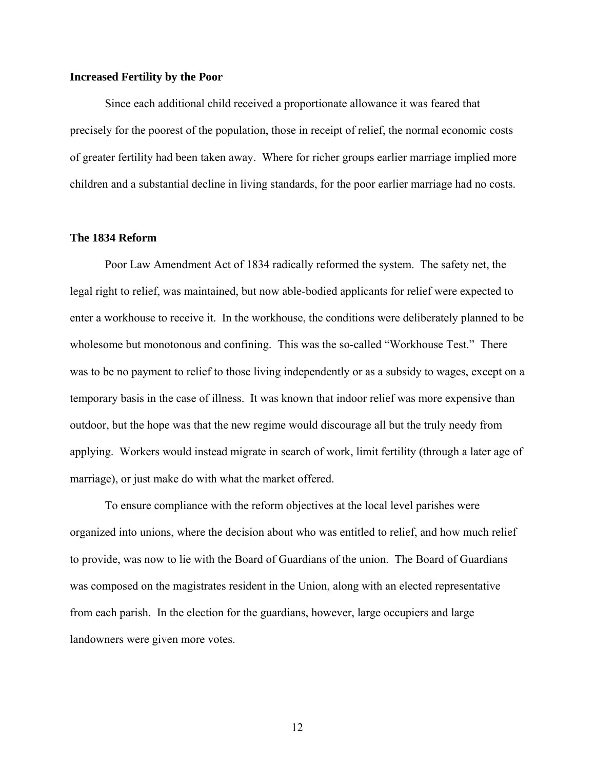#### **Increased Fertility by the Poor**

 Since each additional child received a proportionate allowance it was feared that precisely for the poorest of the population, those in receipt of relief, the normal economic costs of greater fertility had been taken away. Where for richer groups earlier marriage implied more children and a substantial decline in living standards, for the poor earlier marriage had no costs.

#### **The 1834 Reform**

 Poor Law Amendment Act of 1834 radically reformed the system. The safety net, the legal right to relief, was maintained, but now able-bodied applicants for relief were expected to enter a workhouse to receive it. In the workhouse, the conditions were deliberately planned to be wholesome but monotonous and confining. This was the so-called "Workhouse Test." There was to be no payment to relief to those living independently or as a subsidy to wages, except on a temporary basis in the case of illness. It was known that indoor relief was more expensive than outdoor, but the hope was that the new regime would discourage all but the truly needy from applying. Workers would instead migrate in search of work, limit fertility (through a later age of marriage), or just make do with what the market offered.

To ensure compliance with the reform objectives at the local level parishes were organized into unions, where the decision about who was entitled to relief, and how much relief to provide, was now to lie with the Board of Guardians of the union. The Board of Guardians was composed on the magistrates resident in the Union, along with an elected representative from each parish. In the election for the guardians, however, large occupiers and large landowners were given more votes.

12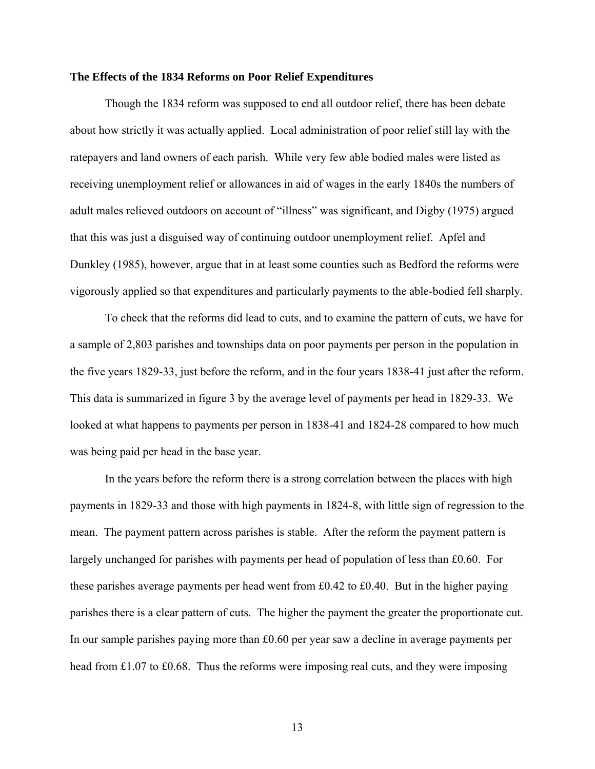#### **The Effects of the 1834 Reforms on Poor Relief Expenditures**

Though the 1834 reform was supposed to end all outdoor relief, there has been debate about how strictly it was actually applied. Local administration of poor relief still lay with the ratepayers and land owners of each parish. While very few able bodied males were listed as receiving unemployment relief or allowances in aid of wages in the early 1840s the numbers of adult males relieved outdoors on account of "illness" was significant, and Digby (1975) argued that this was just a disguised way of continuing outdoor unemployment relief. Apfel and Dunkley (1985), however, argue that in at least some counties such as Bedford the reforms were vigorously applied so that expenditures and particularly payments to the able-bodied fell sharply.

 To check that the reforms did lead to cuts, and to examine the pattern of cuts, we have for a sample of 2,803 parishes and townships data on poor payments per person in the population in the five years 1829-33, just before the reform, and in the four years 1838-41 just after the reform. This data is summarized in figure 3 by the average level of payments per head in 1829-33. We looked at what happens to payments per person in 1838-41 and 1824-28 compared to how much was being paid per head in the base year.

In the years before the reform there is a strong correlation between the places with high payments in 1829-33 and those with high payments in 1824-8, with little sign of regression to the mean. The payment pattern across parishes is stable. After the reform the payment pattern is largely unchanged for parishes with payments per head of population of less than £0.60. For these parishes average payments per head went from £0.42 to £0.40. But in the higher paying parishes there is a clear pattern of cuts. The higher the payment the greater the proportionate cut. In our sample parishes paying more than £0.60 per year saw a decline in average payments per head from £1.07 to £0.68. Thus the reforms were imposing real cuts, and they were imposing

13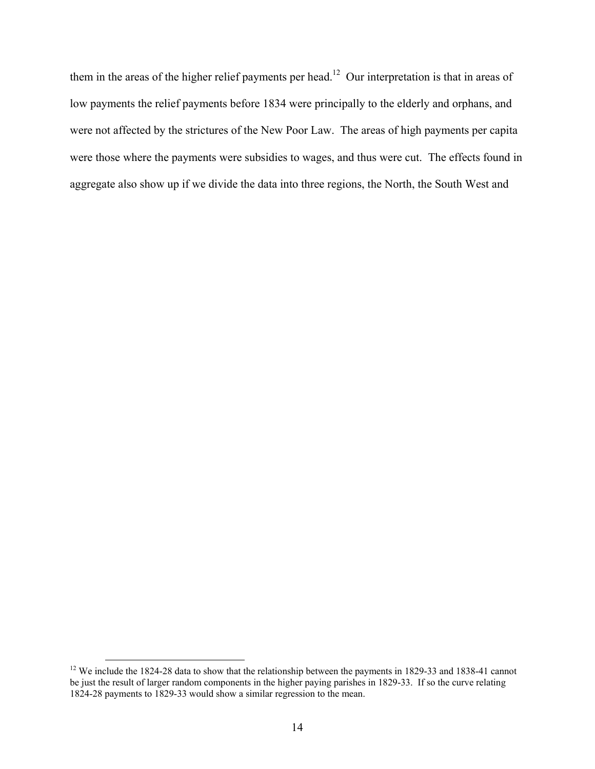them in the areas of the higher relief payments per head.<sup>12</sup> Our interpretation is that in areas of low payments the relief payments before 1834 were principally to the elderly and orphans, and were not affected by the strictures of the New Poor Law. The areas of high payments per capita were those where the payments were subsidies to wages, and thus were cut. The effects found in aggregate also show up if we divide the data into three regions, the North, the South West and

<sup>&</sup>lt;sup>12</sup> We include the 1824-28 data to show that the relationship between the payments in 1829-33 and 1838-41 cannot be just the result of larger random components in the higher paying parishes in 1829-33. If so the curve relating 1824-28 payments to 1829-33 would show a similar regression to the mean.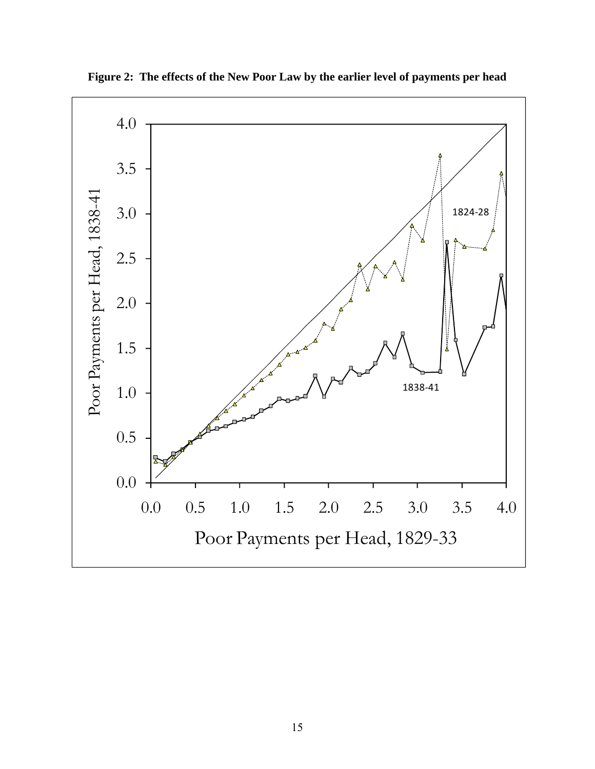

**Figure 2: The effects of the New Poor Law by the earlier level of payments per head**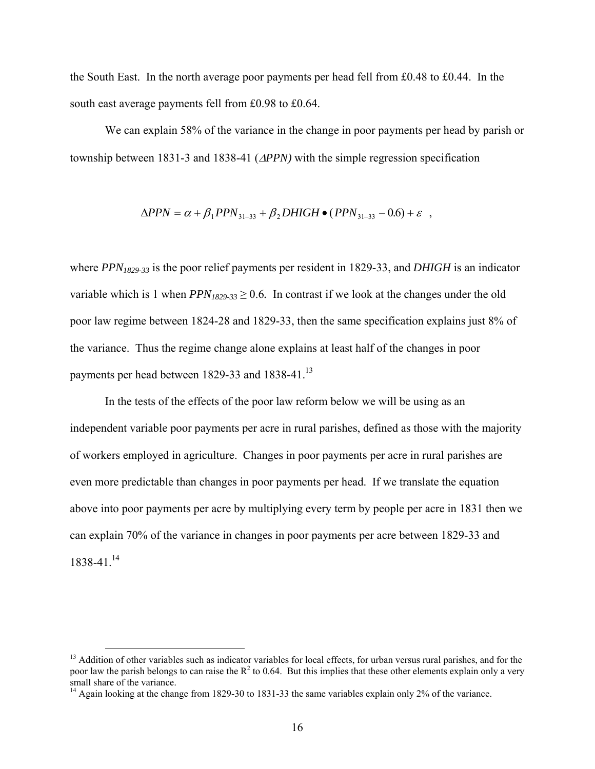the South East. In the north average poor payments per head fell from £0.48 to £0.44. In the south east average payments fell from £0.98 to £0.64.

 We can explain 58% of the variance in the change in poor payments per head by parish or township between 1831-3 and 1838-41 (Δ*PPN)* with the simple regression specification

$$
\Delta PPN = \alpha + \beta_1 PPN_{31-33} + \beta_2 DHIGH \bullet (PPN_{31-33} - 0.6) + \varepsilon ,
$$

where *PPN1829-33* is the poor relief payments per resident in 1829-33, and *DHIGH* is an indicator variable which is 1 when  $PPN_{1829-33}$  > 0.6. In contrast if we look at the changes under the old poor law regime between 1824-28 and 1829-33, then the same specification explains just 8% of the variance. Thus the regime change alone explains at least half of the changes in poor payments per head between 1829-33 and 1838-41.<sup>13</sup>

 In the tests of the effects of the poor law reform below we will be using as an independent variable poor payments per acre in rural parishes, defined as those with the majority of workers employed in agriculture. Changes in poor payments per acre in rural parishes are even more predictable than changes in poor payments per head. If we translate the equation above into poor payments per acre by multiplying every term by people per acre in 1831 then we can explain 70% of the variance in changes in poor payments per acre between 1829-33 and 1838-41.14

<sup>&</sup>lt;sup>13</sup> Addition of other variables such as indicator variables for local effects, for urban versus rural parishes, and for the poor law the parish belongs to can raise the  $R^2$  to 0.64. But this implies that these other elements explain only a very small share of the variance.

<sup>&</sup>lt;sup>14</sup> Again looking at the change from 1829-30 to 1831-33 the same variables explain only 2% of the variance.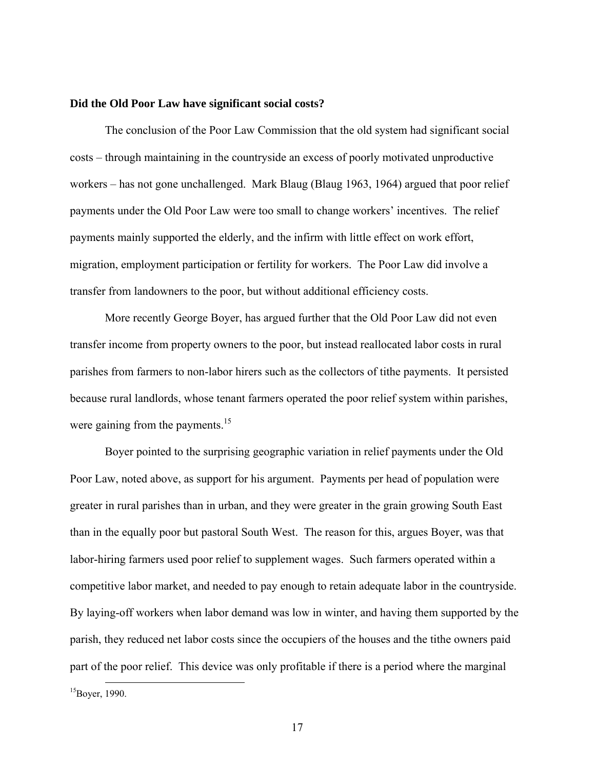#### **Did the Old Poor Law have significant social costs?**

The conclusion of the Poor Law Commission that the old system had significant social costs – through maintaining in the countryside an excess of poorly motivated unproductive workers – has not gone unchallenged. Mark Blaug (Blaug 1963, 1964) argued that poor relief payments under the Old Poor Law were too small to change workers' incentives. The relief payments mainly supported the elderly, and the infirm with little effect on work effort, migration, employment participation or fertility for workers. The Poor Law did involve a transfer from landowners to the poor, but without additional efficiency costs.

 More recently George Boyer, has argued further that the Old Poor Law did not even transfer income from property owners to the poor, but instead reallocated labor costs in rural parishes from farmers to non-labor hirers such as the collectors of tithe payments. It persisted because rural landlords, whose tenant farmers operated the poor relief system within parishes, were gaining from the payments.<sup>15</sup>

Boyer pointed to the surprising geographic variation in relief payments under the Old Poor Law, noted above, as support for his argument. Payments per head of population were greater in rural parishes than in urban, and they were greater in the grain growing South East than in the equally poor but pastoral South West. The reason for this, argues Boyer, was that labor-hiring farmers used poor relief to supplement wages. Such farmers operated within a competitive labor market, and needed to pay enough to retain adequate labor in the countryside. By laying-off workers when labor demand was low in winter, and having them supported by the parish, they reduced net labor costs since the occupiers of the houses and the tithe owners paid part of the poor relief. This device was only profitable if there is a period where the marginal

 $15Bover, 1990.$ 

17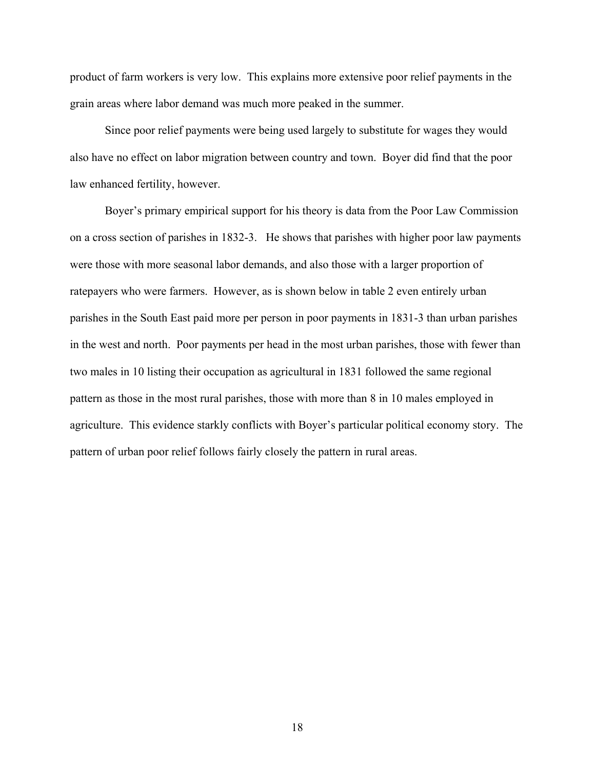product of farm workers is very low. This explains more extensive poor relief payments in the grain areas where labor demand was much more peaked in the summer.

Since poor relief payments were being used largely to substitute for wages they would also have no effect on labor migration between country and town. Boyer did find that the poor law enhanced fertility, however.

Boyer's primary empirical support for his theory is data from the Poor Law Commission on a cross section of parishes in 1832-3. He shows that parishes with higher poor law payments were those with more seasonal labor demands, and also those with a larger proportion of ratepayers who were farmers. However, as is shown below in table 2 even entirely urban parishes in the South East paid more per person in poor payments in 1831-3 than urban parishes in the west and north. Poor payments per head in the most urban parishes, those with fewer than two males in 10 listing their occupation as agricultural in 1831 followed the same regional pattern as those in the most rural parishes, those with more than 8 in 10 males employed in agriculture. This evidence starkly conflicts with Boyer's particular political economy story. The pattern of urban poor relief follows fairly closely the pattern in rural areas.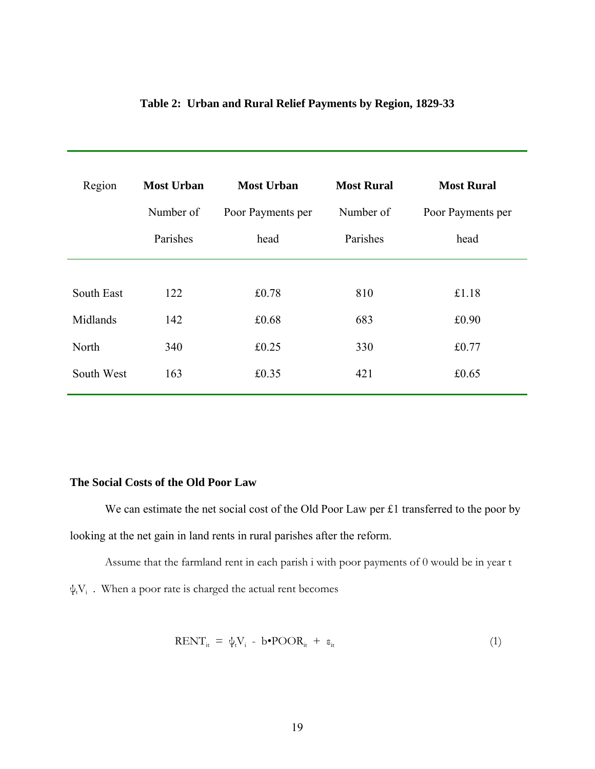| Region     | <b>Most Urban</b> | <b>Most Rural</b><br><b>Most Urban</b> |           | <b>Most Rural</b> |  |
|------------|-------------------|----------------------------------------|-----------|-------------------|--|
|            | Number of         | Poor Payments per                      | Number of | Poor Payments per |  |
|            | Parishes          | head                                   | Parishes  | head              |  |
|            |                   |                                        |           |                   |  |
| South East | 122               | £0.78                                  | 810       | £1.18             |  |
| Midlands   | 142               | £0.68                                  | 683       | £0.90             |  |
| North      | 340               | £0.25                                  | 330       | £0.77             |  |
| South West | 163               | £0.35                                  | 421       | £0.65             |  |

# **Table 2: Urban and Rural Relief Payments by Region, 1829-33**

## **The Social Costs of the Old Poor Law**

We can estimate the net social cost of the Old Poor Law per £1 transferred to the poor by looking at the net gain in land rents in rural parishes after the reform.

Assume that the farmland rent in each parish i with poor payments of 0 would be in year t  $\psi_{t}V_{i}$ . When a poor rate is charged the actual rent becomes

$$
RENT_{it} = \psi_t V_i - b \cdot POOR_{it} + \varepsilon_{it}
$$
 (1)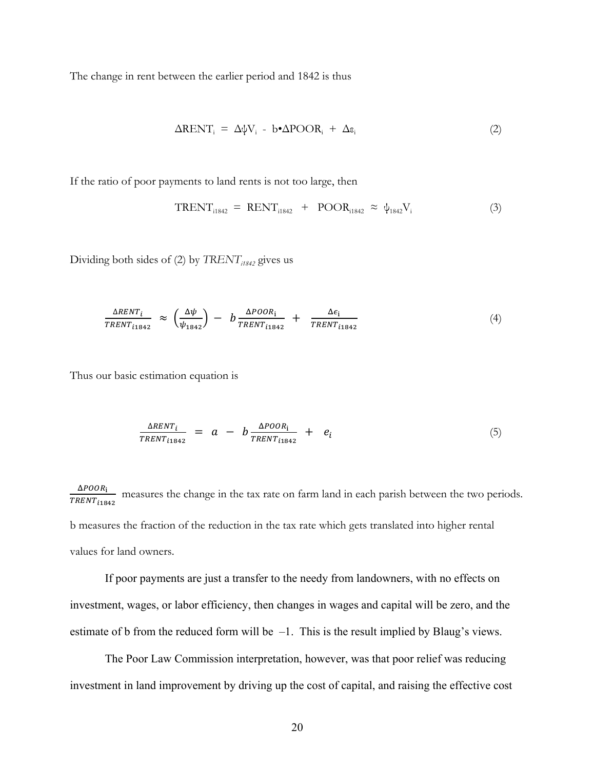The change in rent between the earlier period and 1842 is thus

$$
\Delta \text{RENT}_i = \Delta \psi V_i - b \cdot \Delta \text{POOR}_i + \Delta \varepsilon_i \tag{2}
$$

If the ratio of poor payments to land rents is not too large, then

$$
TRENT_{i1842} = RENT_{i1842} + POOR_{i1842} \approx \psi_{1842}V_i \tag{3}
$$

Dividing both sides of (2) by *TRENT*<sub>i1842</sub> gives us

$$
\frac{\Delta RENT_{i}}{TRENT_{i1842}} \approx \left(\frac{\Delta \psi}{\psi_{1842}}\right) - b \frac{\Delta POOR_{i}}{TRENT_{i1842}} + \frac{\Delta \epsilon_{i}}{TRENT_{i1842}} \tag{4}
$$

Thus our basic estimation equation is

$$
\frac{\Delta RENT_i}{TRENT_{i1842}} = a - b \frac{\Delta POOR_i}{TRENT_{i1842}} + e_i \tag{5}
$$

 $\Delta POOR_{\textbf{i}}$  $\frac{\Delta FOM_1}{TRENT_{11842}}$  measures the change in the tax rate on farm land in each parish between the two periods. b measures the fraction of the reduction in the tax rate which gets translated into higher rental values for land owners.

 If poor payments are just a transfer to the needy from landowners, with no effects on investment, wages, or labor efficiency, then changes in wages and capital will be zero, and the estimate of b from the reduced form will be –1. This is the result implied by Blaug's views.

 The Poor Law Commission interpretation, however, was that poor relief was reducing investment in land improvement by driving up the cost of capital, and raising the effective cost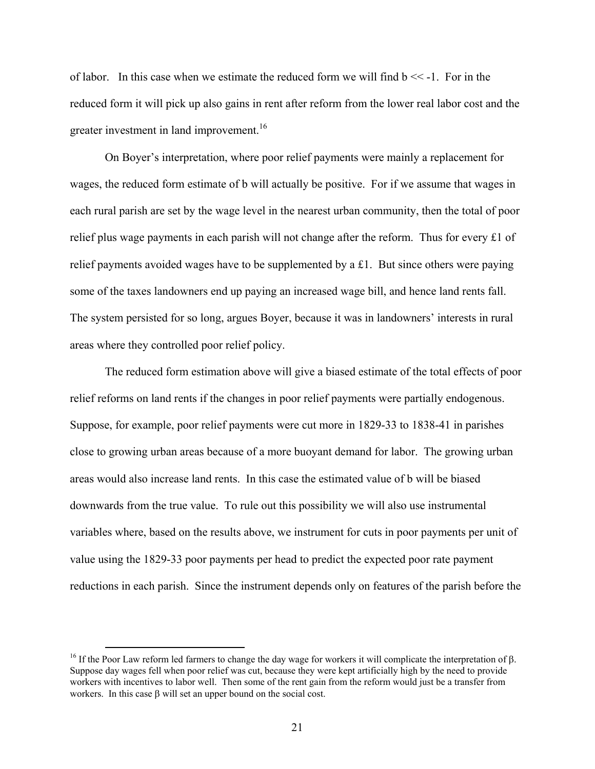of labor. In this case when we estimate the reduced form we will find  $b \ll -1$ . For in the reduced form it will pick up also gains in rent after reform from the lower real labor cost and the greater investment in land improvement.<sup>16</sup>

 On Boyer's interpretation, where poor relief payments were mainly a replacement for wages, the reduced form estimate of b will actually be positive. For if we assume that wages in each rural parish are set by the wage level in the nearest urban community, then the total of poor relief plus wage payments in each parish will not change after the reform. Thus for every  $\pounds 1$  of relief payments avoided wages have to be supplemented by a £1. But since others were paying some of the taxes landowners end up paying an increased wage bill, and hence land rents fall. The system persisted for so long, argues Boyer, because it was in landowners' interests in rural areas where they controlled poor relief policy.

 The reduced form estimation above will give a biased estimate of the total effects of poor relief reforms on land rents if the changes in poor relief payments were partially endogenous. Suppose, for example, poor relief payments were cut more in 1829-33 to 1838-41 in parishes close to growing urban areas because of a more buoyant demand for labor. The growing urban areas would also increase land rents. In this case the estimated value of b will be biased downwards from the true value. To rule out this possibility we will also use instrumental variables where, based on the results above, we instrument for cuts in poor payments per unit of value using the 1829-33 poor payments per head to predict the expected poor rate payment reductions in each parish. Since the instrument depends only on features of the parish before the

 <sup>16</sup> If the Poor Law reform led farmers to change the day wage for workers it will complicate the interpretation of <sup>β</sup>. Suppose day wages fell when poor relief was cut, because they were kept artificially high by the need to provide workers with incentives to labor well. Then some of the rent gain from the reform would just be a transfer from workers. In this case β will set an upper bound on the social cost.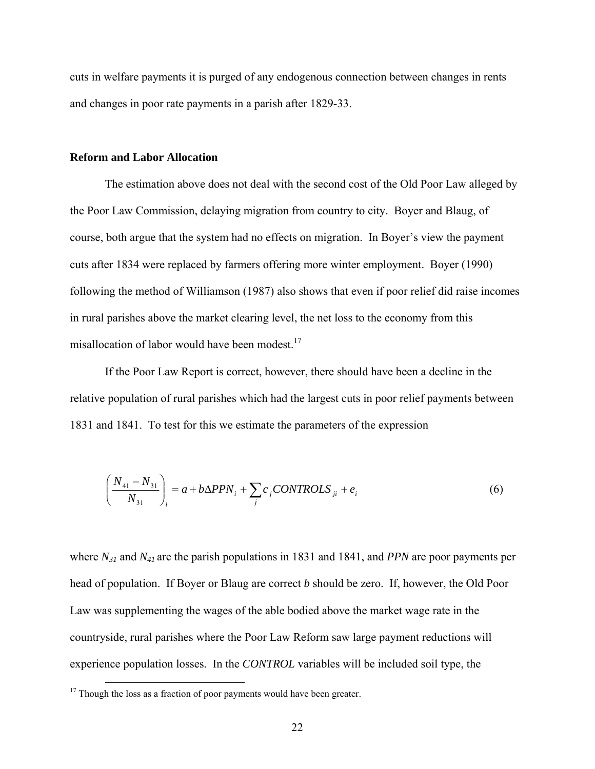cuts in welfare payments it is purged of any endogenous connection between changes in rents and changes in poor rate payments in a parish after 1829-33.

#### **Reform and Labor Allocation**

 The estimation above does not deal with the second cost of the Old Poor Law alleged by the Poor Law Commission, delaying migration from country to city. Boyer and Blaug, of course, both argue that the system had no effects on migration. In Boyer's view the payment cuts after 1834 were replaced by farmers offering more winter employment. Boyer (1990) following the method of Williamson (1987) also shows that even if poor relief did raise incomes in rural parishes above the market clearing level, the net loss to the economy from this misallocation of labor would have been modest.<sup>17</sup>

 If the Poor Law Report is correct, however, there should have been a decline in the relative population of rural parishes which had the largest cuts in poor relief payments between 1831 and 1841. To test for this we estimate the parameters of the expression

$$
\left(\frac{N_{41} - N_{31}}{N_{31}}\right)_i = a + b\Delta P P N_i + \sum_j c_j \text{CONTROLS}_{ji} + e_i \tag{6}
$$

where *N31* and *N41* are the parish populations in 1831 and 1841, and *PPN* are poor payments per head of population. If Boyer or Blaug are correct *b* should be zero. If, however, the Old Poor Law was supplementing the wages of the able bodied above the market wage rate in the countryside, rural parishes where the Poor Law Reform saw large payment reductions will experience population losses. In the *CONTROL* variables will be included soil type, the

 $17$  Though the loss as a fraction of poor payments would have been greater.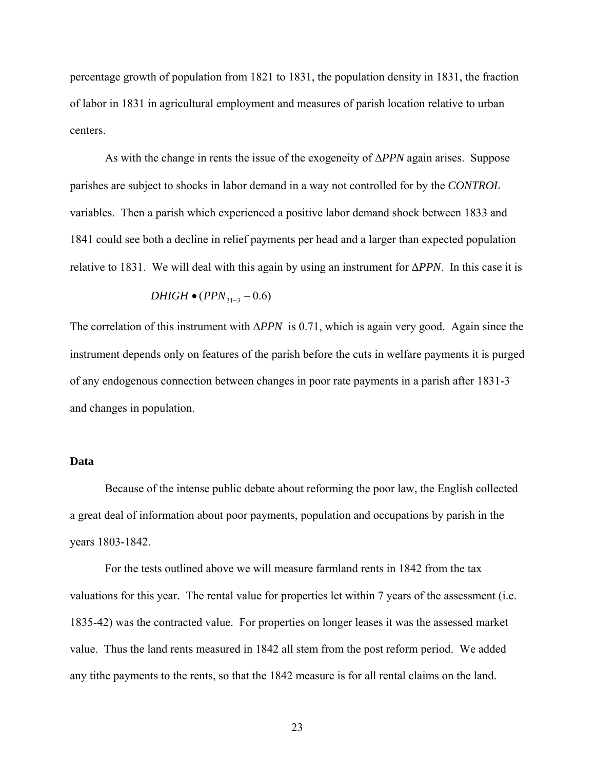percentage growth of population from 1821 to 1831, the population density in 1831, the fraction of labor in 1831 in agricultural employment and measures of parish location relative to urban centers.

 As with the change in rents the issue of the exogeneity of Δ*PPN* again arises. Suppose parishes are subject to shocks in labor demand in a way not controlled for by the *CONTROL* variables. Then a parish which experienced a positive labor demand shock between 1833 and 1841 could see both a decline in relief payments per head and a larger than expected population relative to 1831. We will deal with this again by using an instrument for Δ*PPN*. In this case it is

$$
DHIGH \bullet (PPN_{31-3} - 0.6)
$$

The correlation of this instrument with Δ*PPN* is 0.71, which is again very good. Again since the instrument depends only on features of the parish before the cuts in welfare payments it is purged of any endogenous connection between changes in poor rate payments in a parish after 1831-3 and changes in population.

#### **Data**

Because of the intense public debate about reforming the poor law, the English collected a great deal of information about poor payments, population and occupations by parish in the years 1803-1842.

For the tests outlined above we will measure farmland rents in 1842 from the tax valuations for this year. The rental value for properties let within 7 years of the assessment (i.e. 1835-42) was the contracted value. For properties on longer leases it was the assessed market value. Thus the land rents measured in 1842 all stem from the post reform period. We added any tithe payments to the rents, so that the 1842 measure is for all rental claims on the land.

23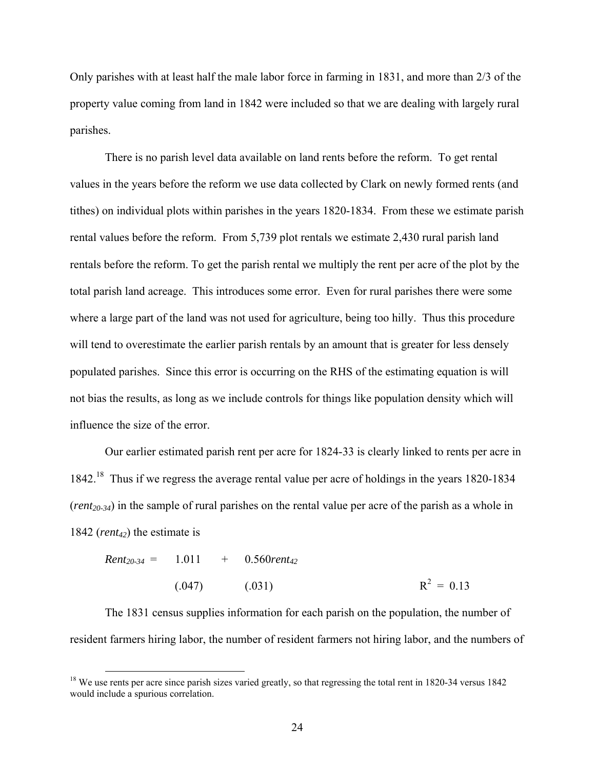Only parishes with at least half the male labor force in farming in 1831, and more than 2/3 of the property value coming from land in 1842 were included so that we are dealing with largely rural parishes.

There is no parish level data available on land rents before the reform. To get rental values in the years before the reform we use data collected by Clark on newly formed rents (and tithes) on individual plots within parishes in the years 1820-1834. From these we estimate parish rental values before the reform. From 5,739 plot rentals we estimate 2,430 rural parish land rentals before the reform. To get the parish rental we multiply the rent per acre of the plot by the total parish land acreage. This introduces some error. Even for rural parishes there were some where a large part of the land was not used for agriculture, being too hilly. Thus this procedure will tend to overestimate the earlier parish rentals by an amount that is greater for less densely populated parishes. Since this error is occurring on the RHS of the estimating equation is will not bias the results, as long as we include controls for things like population density which will influence the size of the error.

Our earlier estimated parish rent per acre for 1824-33 is clearly linked to rents per acre in 1842.18 Thus if we regress the average rental value per acre of holdings in the years 1820-1834  $(rent<sub>20-34</sub>)$  in the sample of rural parishes on the rental value per acre of the parish as a whole in 1842 (*rent<sub>42</sub>*) the estimate is

$$
Rent20-34 = 1.011 + 0.560rent42
$$
  
(.047) (.031) R<sup>2</sup> = 0.13

The 1831 census supplies information for each parish on the population, the number of resident farmers hiring labor, the number of resident farmers not hiring labor, and the numbers of

<sup>&</sup>lt;sup>18</sup> We use rents per acre since parish sizes varied greatly, so that regressing the total rent in 1820-34 versus 1842 would include a spurious correlation.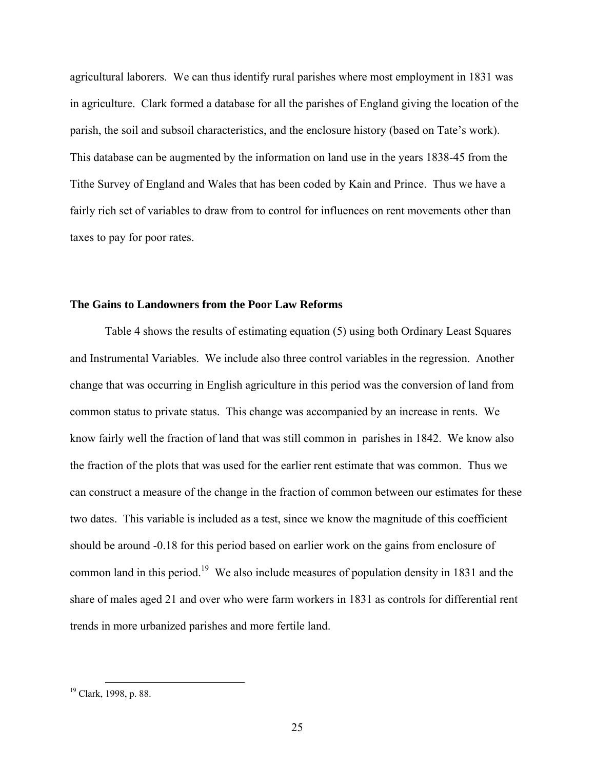agricultural laborers. We can thus identify rural parishes where most employment in 1831 was in agriculture. Clark formed a database for all the parishes of England giving the location of the parish, the soil and subsoil characteristics, and the enclosure history (based on Tate's work). This database can be augmented by the information on land use in the years 1838-45 from the Tithe Survey of England and Wales that has been coded by Kain and Prince. Thus we have a fairly rich set of variables to draw from to control for influences on rent movements other than taxes to pay for poor rates.

#### **The Gains to Landowners from the Poor Law Reforms**

 Table 4 shows the results of estimating equation (5) using both Ordinary Least Squares and Instrumental Variables. We include also three control variables in the regression. Another change that was occurring in English agriculture in this period was the conversion of land from common status to private status. This change was accompanied by an increase in rents. We know fairly well the fraction of land that was still common in parishes in 1842. We know also the fraction of the plots that was used for the earlier rent estimate that was common. Thus we can construct a measure of the change in the fraction of common between our estimates for these two dates. This variable is included as a test, since we know the magnitude of this coefficient should be around -0.18 for this period based on earlier work on the gains from enclosure of common land in this period.<sup>19</sup> We also include measures of population density in 1831 and the share of males aged 21 and over who were farm workers in 1831 as controls for differential rent trends in more urbanized parishes and more fertile land.

<sup>&</sup>lt;sup>19</sup> Clark, 1998, p. 88.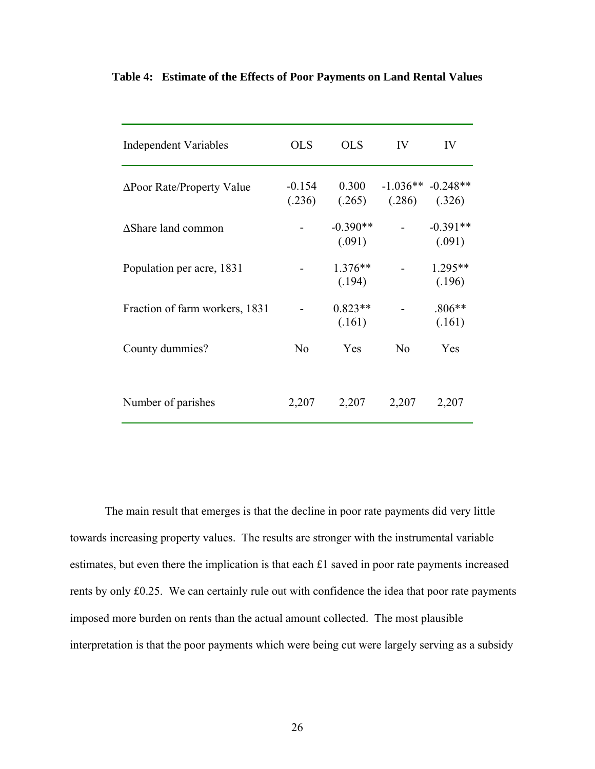| Independent Variables          | <b>OLS</b>         | <b>OLS</b>           | IV                              | IV                   |
|--------------------------------|--------------------|----------------------|---------------------------------|----------------------|
| ΔPoor Rate/Property Value      | $-0.154$<br>(.236) | 0.300<br>(.265)      | $-1.036**$ $-0.248**$<br>(.286) | (.326)               |
| <b>AShare land common</b>      |                    | $-0.390**$<br>(.091) |                                 | $-0.391**$<br>(.091) |
| Population per acre, 1831      |                    | $1.376**$<br>(.194)  |                                 | $1.295**$<br>(.196)  |
| Fraction of farm workers, 1831 |                    | $0.823**$<br>(.161)  |                                 | $.806**$<br>(.161)   |
| County dummies?                | No                 | Yes                  | No                              | Yes                  |
| Number of parishes             | 2,207              | 2,207                | 2,207                           | 2,207                |

# **Table 4: Estimate of the Effects of Poor Payments on Land Rental Values**

 The main result that emerges is that the decline in poor rate payments did very little towards increasing property values. The results are stronger with the instrumental variable estimates, but even there the implication is that each £1 saved in poor rate payments increased rents by only £0.25. We can certainly rule out with confidence the idea that poor rate payments imposed more burden on rents than the actual amount collected. The most plausible interpretation is that the poor payments which were being cut were largely serving as a subsidy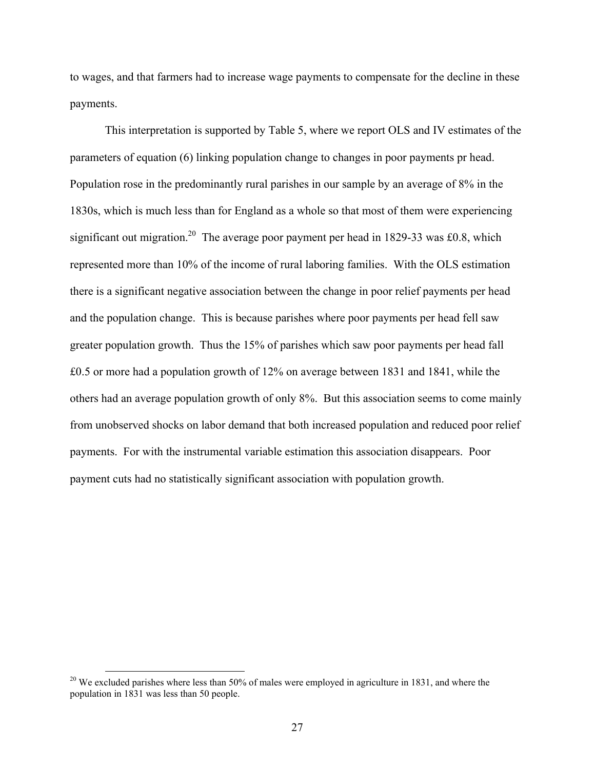to wages, and that farmers had to increase wage payments to compensate for the decline in these payments.

 This interpretation is supported by Table 5, where we report OLS and IV estimates of the parameters of equation (6) linking population change to changes in poor payments pr head. Population rose in the predominantly rural parishes in our sample by an average of 8% in the 1830s, which is much less than for England as a whole so that most of them were experiencing significant out migration.<sup>20</sup> The average poor payment per head in 1829-33 was £0.8, which represented more than 10% of the income of rural laboring families. With the OLS estimation there is a significant negative association between the change in poor relief payments per head and the population change. This is because parishes where poor payments per head fell saw greater population growth. Thus the 15% of parishes which saw poor payments per head fall £0.5 or more had a population growth of 12% on average between 1831 and 1841, while the others had an average population growth of only 8%. But this association seems to come mainly from unobserved shocks on labor demand that both increased population and reduced poor relief payments. For with the instrumental variable estimation this association disappears. Poor payment cuts had no statistically significant association with population growth.

 $20$  We excluded parishes where less than 50% of males were employed in agriculture in 1831, and where the population in 1831 was less than 50 people.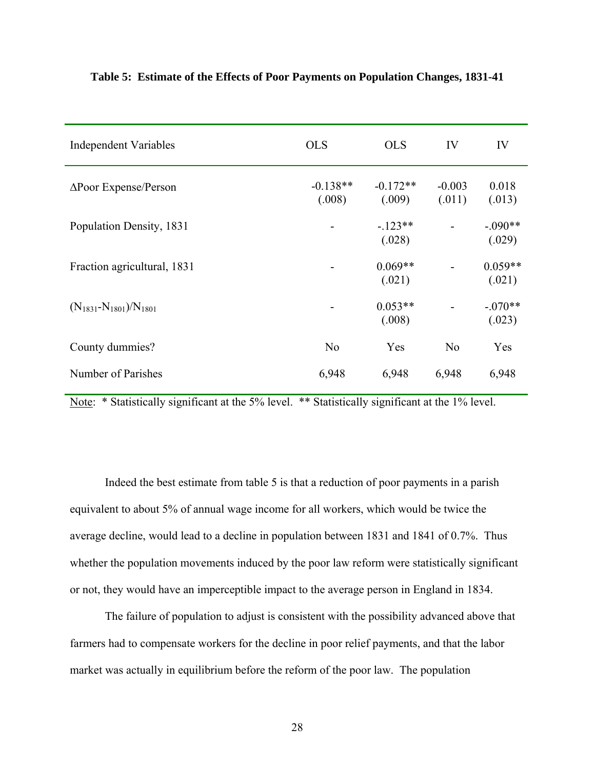| <b>Independent Variables</b>     | <b>OLS</b>           | <b>OLS</b>           | IV                 | IV                  |
|----------------------------------|----------------------|----------------------|--------------------|---------------------|
| $\Delta$ Poor Expense/Person     | $-0.138**$<br>(.008) | $-0.172**$<br>(.009) | $-0.003$<br>(.011) | 0.018<br>(.013)     |
| Population Density, 1831         |                      | $-123**$<br>(.028)   |                    | $-.090**$<br>(.029) |
| Fraction agricultural, 1831      |                      | $0.069**$<br>(.021)  |                    | $0.059**$<br>(.021) |
| $(N_{1831} - N_{1801})/N_{1801}$ |                      | $0.053**$<br>(.008)  |                    | $-.070**$<br>(.023) |
| County dummies?                  | N <sub>0</sub>       | Yes                  | N <sub>0</sub>     | Yes                 |
| Number of Parishes               | 6,948                | 6,948                | 6,948              | 6,948               |

#### **Table 5: Estimate of the Effects of Poor Payments on Population Changes, 1831-41**

Note: \* Statistically significant at the 5% level. \*\* Statistically significant at the 1% level.

 Indeed the best estimate from table 5 is that a reduction of poor payments in a parish equivalent to about 5% of annual wage income for all workers, which would be twice the average decline, would lead to a decline in population between 1831 and 1841 of 0.7%. Thus whether the population movements induced by the poor law reform were statistically significant or not, they would have an imperceptible impact to the average person in England in 1834.

 The failure of population to adjust is consistent with the possibility advanced above that farmers had to compensate workers for the decline in poor relief payments, and that the labor market was actually in equilibrium before the reform of the poor law. The population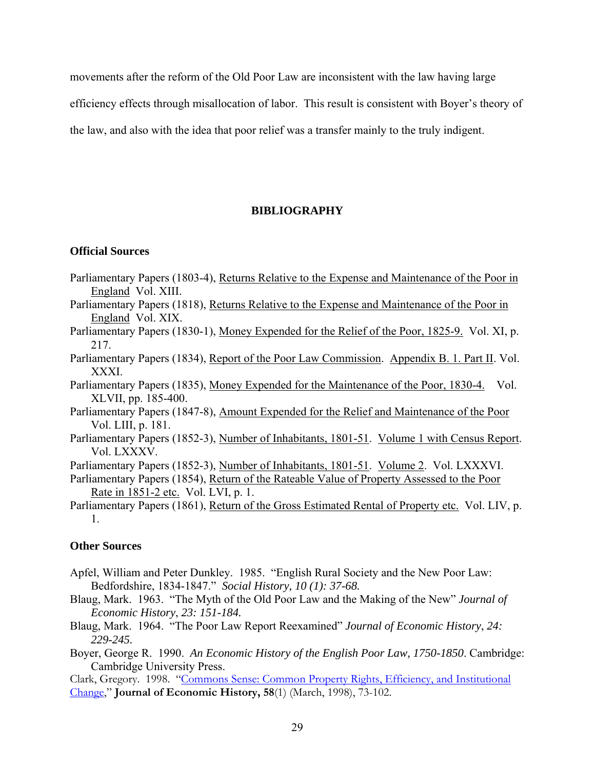movements after the reform of the Old Poor Law are inconsistent with the law having large

efficiency effects through misallocation of labor. This result is consistent with Boyer's theory of

the law, and also with the idea that poor relief was a transfer mainly to the truly indigent.

# **BIBLIOGRAPHY**

#### **Official Sources**

- Parliamentary Papers (1803-4), Returns Relative to the Expense and Maintenance of the Poor in England Vol. XIII.
- Parliamentary Papers (1818), Returns Relative to the Expense and Maintenance of the Poor in England Vol. XIX.
- Parliamentary Papers (1830-1), Money Expended for the Relief of the Poor, 1825-9. Vol. XI, p. 217.
- Parliamentary Papers (1834), Report of the Poor Law Commission. Appendix B. 1. Part II. Vol. XXXI.
- Parliamentary Papers (1835), Money Expended for the Maintenance of the Poor, 1830-4. Vol. XLVII, pp. 185-400.
- Parliamentary Papers (1847-8), Amount Expended for the Relief and Maintenance of the Poor Vol. LIII, p. 181.
- Parliamentary Papers (1852-3), Number of Inhabitants, 1801-51. Volume 1 with Census Report. Vol. LXXXV.
- Parliamentary Papers (1852-3), Number of Inhabitants, 1801-51. Volume 2. Vol. LXXXVI.
- Parliamentary Papers (1854), Return of the Rateable Value of Property Assessed to the Poor Rate in 1851-2 etc. Vol. LVI, p. 1.
- Parliamentary Papers (1861), Return of the Gross Estimated Rental of Property etc. Vol. LIV, p. 1.

### **Other Sources**

- Apfel, William and Peter Dunkley. 1985. "English Rural Society and the New Poor Law: Bedfordshire, 1834-1847." *Social History, 10 (1): 37-68.*
- Blaug, Mark. 1963. "The Myth of the Old Poor Law and the Making of the New" *Journal of Economic History*, *23: 151-184.*
- Blaug, Mark. 1964. "The Poor Law Report Reexamined" *Journal of Economic History*, *24: 229-245.*
- Boyer, George R. 1990. *An Economic History of the English Poor Law, 1750-1850*. Cambridge: Cambridge University Press.

Clark, Gregory. 1998. "Commons Sense: Common Property Rights, Efficiency, and Institutional Change," **Journal of Economic History, 58**(1) (March, 1998), 73-102.